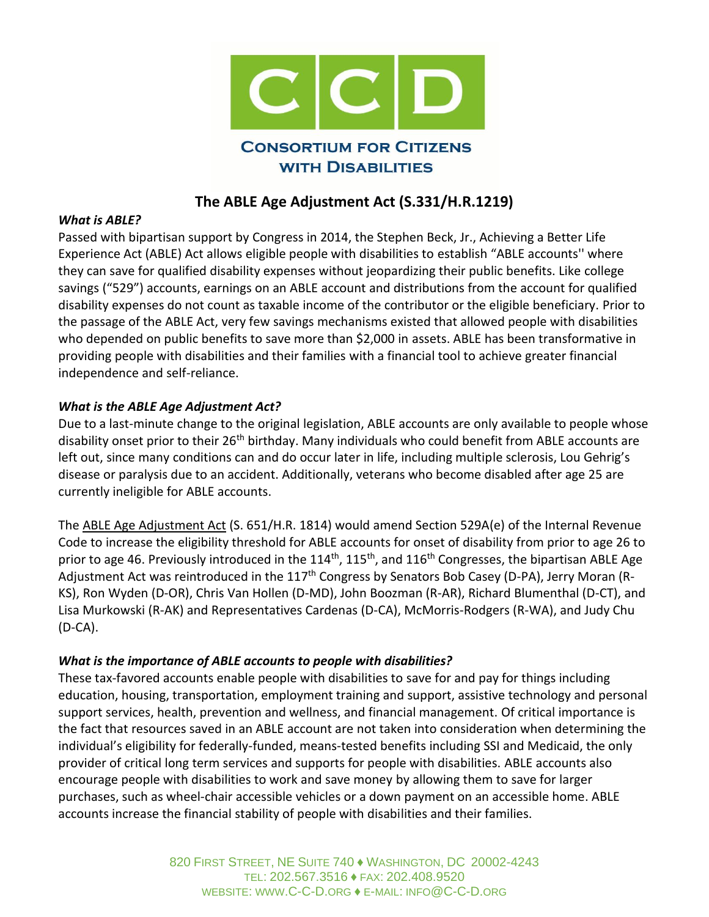

## **The ABLE Age Adjustment Act (S.331/H.R.1219)**

#### *What is ABLE?*

Passed with bipartisan support by Congress in 2014, the Stephen Beck, Jr., Achieving a Better Life Experience Act (ABLE) Act allows eligible people with disabilities to establish "ABLE accounts'' where they can save for qualified disability expenses without jeopardizing their public benefits. Like college savings ("529") accounts, earnings on an ABLE account and distributions from the account for qualified disability expenses do not count as taxable income of the contributor or the eligible beneficiary. Prior to the passage of the ABLE Act, very few savings mechanisms existed that allowed people with disabilities who depended on public benefits to save more than \$2,000 in assets. ABLE has been transformative in providing people with disabilities and their families with a financial tool to achieve greater financial independence and self-reliance.

### *What is the ABLE Age Adjustment Act?*

Due to a last-minute change to the original legislation, ABLE accounts are only available to people whose disability onset prior to their 26<sup>th</sup> birthday. Many individuals who could benefit from ABLE accounts are left out, since many conditions can and do occur later in life, including multiple sclerosis, Lou Gehrig's disease or paralysis due to an accident. Additionally, veterans who become disabled after age 25 are currently ineligible for ABLE accounts.

The [ABLE Age Adjustment Act](https://www.congress.gov/bill/115th-congress/senate-bill/817?q=%7B%22search%22%3A%5B%22ABLE+Age%22%5D%7D&r=2) (S. 651/H.R. 1814) would amend Section 529A(e) of the Internal Revenue Code to increase the eligibility threshold for ABLE accounts for onset of disability from prior to age 26 to prior to age 46. Previously introduced in the 114<sup>th</sup>, 115<sup>th</sup>, and 116<sup>th</sup> Congresses, the bipartisan ABLE Age Adjustment Act was reintroduced in the 117<sup>th</sup> Congress by Senators Bob Casey (D-PA), Jerry Moran (R-KS), Ron Wyden (D-OR), Chris Van Hollen (D-MD), John Boozman (R-AR), Richard Blumenthal (D-CT), and Lisa Murkowski (R-AK) and Representatives Cardenas (D-CA), McMorris-Rodgers (R-WA), and Judy Chu (D-CA).

### *What is the importance of ABLE accounts to people with disabilities?*

These tax-favored accounts enable people with disabilities to save for and pay for things including education, housing, transportation, employment training and support, assistive technology and personal support services, health, prevention and wellness, and financial management. Of critical importance is the fact that resources saved in an ABLE account are not taken into consideration when determining the individual's eligibility for federally-funded, means-tested benefits including SSI and Medicaid, the only provider of critical long term services and supports for people with disabilities. ABLE accounts also encourage people with disabilities to work and save money by allowing them to save for larger purchases, such as wheel-chair accessible vehicles or a down payment on an accessible home. ABLE accounts increase the financial stability of people with disabilities and their families.